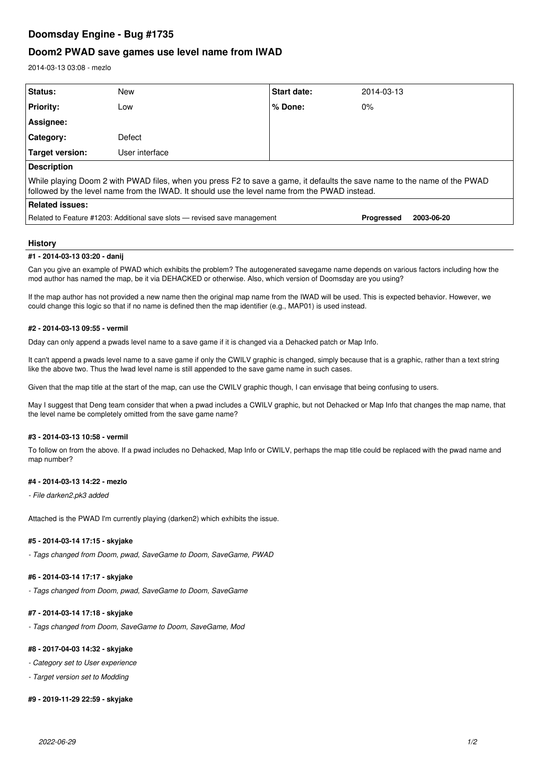# **Doomsday Engine - Bug #1735**

## **Doom2 PWAD save games use level name from IWAD**

2014-03-13 03:08 - mezlo

| <b>Status:</b>                                                                                                                                                                                                             | New            | Start date: | 2014-03-13 |
|----------------------------------------------------------------------------------------------------------------------------------------------------------------------------------------------------------------------------|----------------|-------------|------------|
| <b>Priority:</b>                                                                                                                                                                                                           | Low            | $%$ Done:   | $0\%$      |
| Assignee:                                                                                                                                                                                                                  |                |             |            |
| Category:                                                                                                                                                                                                                  | Defect         |             |            |
| Target version:                                                                                                                                                                                                            | User interface |             |            |
| <b>Description</b>                                                                                                                                                                                                         |                |             |            |
| While playing Doom 2 with PWAD files, when you press F2 to save a game, it defaults the save name to the name of the PWAD<br>followed by the level name from the IWAD. It should use the level name from the PWAD instead. |                |             |            |
| <b>Related issues:</b>                                                                                                                                                                                                     |                |             |            |
| Related to Feature #1203: Additional save slots — revised save management<br>Progressed<br>2003-06-20                                                                                                                      |                |             |            |

### **History**

#### **#1 - 2014-03-13 03:20 - danij**

Can you give an example of PWAD which exhibits the problem? The autogenerated savegame name depends on various factors including how the mod author has named the map, be it via DEHACKED or otherwise. Also, which version of Doomsday are you using?

If the map author has not provided a new name then the original map name from the IWAD will be used. This is expected behavior. However, we could change this logic so that if no name is defined then the map identifier (e.g., MAP01) is used instead.

#### **#2 - 2014-03-13 09:55 - vermil**

Dday can only append a pwads level name to a save game if it is changed via a Dehacked patch or Map Info.

It can't append a pwads level name to a save game if only the CWILV graphic is changed, simply because that is a graphic, rather than a text string like the above two. Thus the Iwad level name is still appended to the save game name in such cases.

Given that the map title at the start of the map, can use the CWILV graphic though, I can envisage that being confusing to users.

May I suggest that Deng team consider that when a pwad includes a CWILV graphic, but not Dehacked or Map Info that changes the map name, that the level name be completely omitted from the save game name?

### **#3 - 2014-03-13 10:58 - vermil**

To follow on from the above. If a pwad includes no Dehacked, Map Info or CWILV, perhaps the map title could be replaced with the pwad name and map number?

### **#4 - 2014-03-13 14:22 - mezlo**

*- File darken2.pk3 added*

Attached is the PWAD I'm currently playing (darken2) which exhibits the issue.

### **#5 - 2014-03-14 17:15 - skyjake**

*- Tags changed from Doom, pwad, SaveGame to Doom, SaveGame, PWAD*

## **#6 - 2014-03-14 17:17 - skyjake**

*- Tags changed from Doom, pwad, SaveGame to Doom, SaveGame*

## **#7 - 2014-03-14 17:18 - skyjake**

*- Tags changed from Doom, SaveGame to Doom, SaveGame, Mod*

## **#8 - 2017-04-03 14:32 - skyjake**

*- Category set to User experience*

*- Target version set to Modding*

#### **#9 - 2019-11-29 22:59 - skyjake**